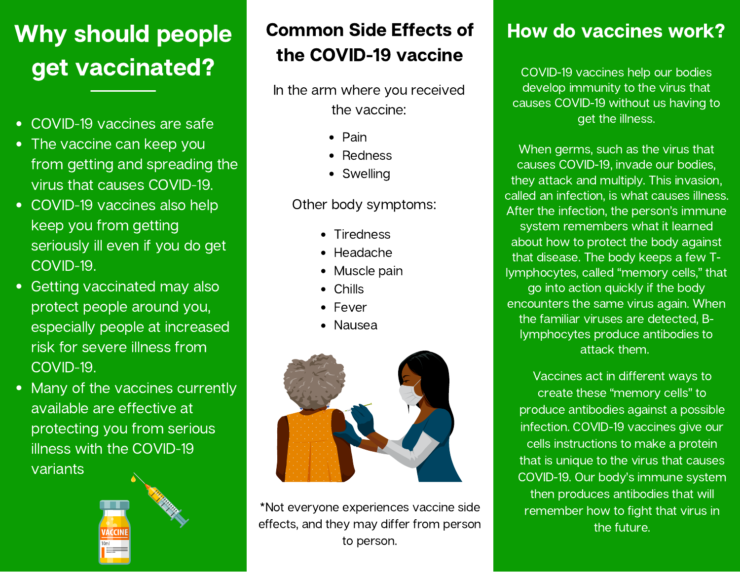# Why should people get vaccinated?

- COVID-19 vaccines are safe
- The vaccine can keep you from getting and spreading the virus that causes COVID-19.
- COVID-19 vaccines also help keep you from getting seriously ill even if you do get COVID-19.
- Getting vaccinated may also protect people around you, especially people at increased risk for severe illness from [COVID-19.](https://www.cdc.gov/coronavirus/2019-ncov/need-extra-precautions/index.html)
- Many of the vaccines currently available are effective at protecting you from serious illness with the COVID-19 variants



# Common Side Effects of the COVID-19 vaccine

In the arm where you received the vaccine:

- $\bullet$  Pain
- Redness
- Swelling

### Other body symptoms:

- Tiredness
- Headache
- Muscle pain
- **Chills**
- Fever
- Nausea



\*Not everyone experiences vaccine side effects, and they may differ from person to person.

## How do vaccines work?

COVID-19 vaccines help our bodies develop immunity to the virus that causes COVID-19 without us having to get the illness.

When germs, such as the virus that causes COVID-19, invade our bodies, they attack and multiply. This invasion, called an infection, is what causes illness. After the infection, the person's immune system remembers what it learned about how to protect the body against that disease. The body keeps a few Tlymphocytes, called "memory cells," that go into action quickly if the body encounters the same virus again. When the familiar viruses are detected, Blymphocytes produce antibodies to attack them.

Vaccines act in different ways to create these "memory cells" to produce antibodies against a possible infection. COVID-19 vaccines give our cells instructions to make a protein that is unique to the virus that causes COVID-19. Our body's immune system then produces antibodies that will remember how to fight that virus in the future.